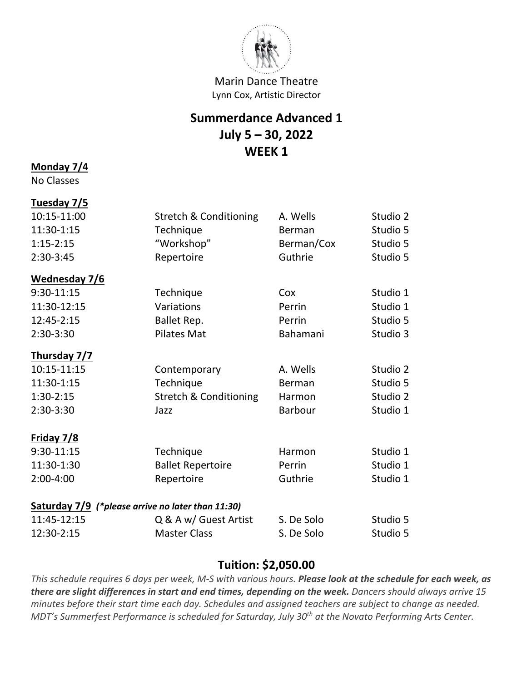

# **Summerdance Advanced 1 July 5 – 30, 2022 WEEK 1**

#### **Monday 7/4**

No Classes

# **Tuesday 7/5**

| 10:15-11:00   | <b>Stretch &amp; Conditioning</b>                   | A. Wells   | Studio 2 |
|---------------|-----------------------------------------------------|------------|----------|
| 11:30-1:15    | Technique                                           | Berman     | Studio 5 |
| $1:15-2:15$   | "Workshop"                                          | Berman/Cox | Studio 5 |
| 2:30-3:45     | Repertoire                                          | Guthrie    | Studio 5 |
| Wednesday 7/6 |                                                     |            |          |
| 9:30-11:15    | Technique                                           | Cox        | Studio 1 |
| 11:30-12:15   | Variations                                          | Perrin     | Studio 1 |
| 12:45-2:15    | Ballet Rep.                                         | Perrin     | Studio 5 |
| 2:30-3:30     | <b>Pilates Mat</b>                                  | Bahamani   | Studio 3 |
| Thursday 7/7  |                                                     |            |          |
| 10:15-11:15   | Contemporary                                        | A. Wells   | Studio 2 |
| 11:30-1:15    | Technique                                           | Berman     | Studio 5 |
| $1:30-2:15$   | <b>Stretch &amp; Conditioning</b>                   | Harmon     | Studio 2 |
| 2:30-3:30     | Jazz                                                | Barbour    | Studio 1 |
| Friday 7/8    |                                                     |            |          |
| $9:30-11:15$  | Technique                                           | Harmon     | Studio 1 |
| 11:30-1:30    | <b>Ballet Repertoire</b>                            | Perrin     | Studio 1 |
| 2:00-4:00     | Repertoire                                          | Guthrie    | Studio 1 |
|               | Saturday $7/9$ (*please arrive no later than 11:30) |            |          |
| 11:45-12:15   | Q & A w/ Guest Artist                               | S. De Solo | Studio 5 |
| 12:30-2:15    | <b>Master Class</b>                                 | S. De Solo | Studio 5 |
|               |                                                     |            |          |

#### **Tuition: \$2,050.00**

*This schedule requires 6 days per week, M-S with various hours. Please look at the schedule for each week, as there are slight differences in start and end times, depending on the week. Dancers should always arrive 15 minutes before their start time each day. Schedules and assigned teachers are subject to change as needed. MDT's Summerfest Performance is scheduled for Saturday, July 30th at the Novato Performing Arts Center.*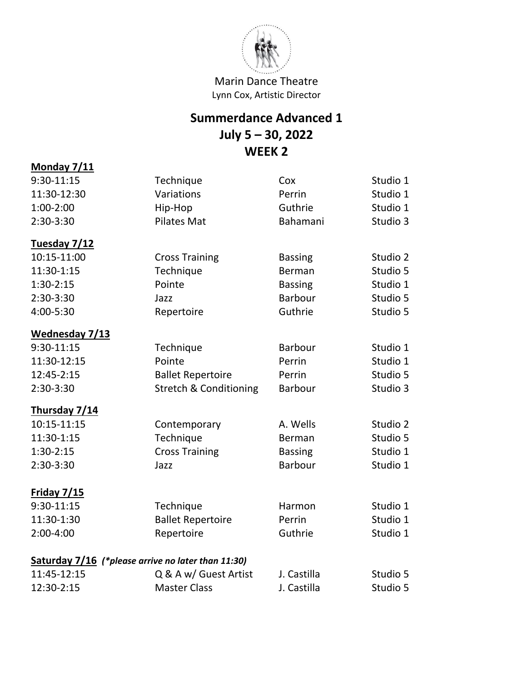

# **Summerdance Advanced 1 July 5 – 30, 2022 WEEK 2**

| 9:30-11:15                                         | Technique                         | Cox            | Studio 1 |
|----------------------------------------------------|-----------------------------------|----------------|----------|
| 11:30-12:30                                        | Variations                        | Perrin         | Studio 1 |
| $1:00-2:00$                                        | Hip-Hop                           | Guthrie        | Studio 1 |
| 2:30-3:30                                          | <b>Pilates Mat</b>                | Bahamani       | Studio 3 |
|                                                    |                                   |                |          |
| Tuesday 7/12                                       |                                   |                |          |
| 10:15-11:00                                        | <b>Cross Training</b>             | <b>Bassing</b> | Studio 2 |
| 11:30-1:15                                         | Technique                         | Berman         | Studio 5 |
| $1:30-2:15$                                        | Pointe                            | <b>Bassing</b> | Studio 1 |
| 2:30-3:30                                          | Jazz                              | <b>Barbour</b> | Studio 5 |
| 4:00-5:30                                          | Repertoire                        | Guthrie        | Studio 5 |
| Wednesday 7/13                                     |                                   |                |          |
| 9:30-11:15                                         | Technique                         | <b>Barbour</b> | Studio 1 |
| 11:30-12:15                                        | Pointe                            | Perrin         | Studio 1 |
| 12:45-2:15                                         | <b>Ballet Repertoire</b>          | Perrin         | Studio 5 |
| 2:30-3:30                                          | <b>Stretch &amp; Conditioning</b> | Barbour        | Studio 3 |
| Thursday 7/14                                      |                                   |                |          |
| 10:15-11:15                                        | Contemporary                      | A. Wells       | Studio 2 |
| 11:30-1:15                                         | Technique                         | Berman         | Studio 5 |
| $1:30-2:15$                                        | <b>Cross Training</b>             | <b>Bassing</b> | Studio 1 |
| 2:30-3:30                                          | Jazz                              | <b>Barbour</b> | Studio 1 |
| Friday 7/15                                        |                                   |                |          |
| 9:30-11:15                                         | Technique                         | Harmon         | Studio 1 |
| 11:30-1:30                                         | <b>Ballet Repertoire</b>          | Perrin         | Studio 1 |
| 2:00-4:00                                          | Repertoire                        | Guthrie        | Studio 1 |
| Saturday 7/16 (*please arrive no later than 11:30) |                                   |                |          |
| 11:45-12:15                                        | Q & A w/ Guest Artist             | J. Castilla    | Studio 5 |
| 12:30-2:15                                         | <b>Master Class</b>               | J. Castilla    | Studio 5 |

**Monday 7/11**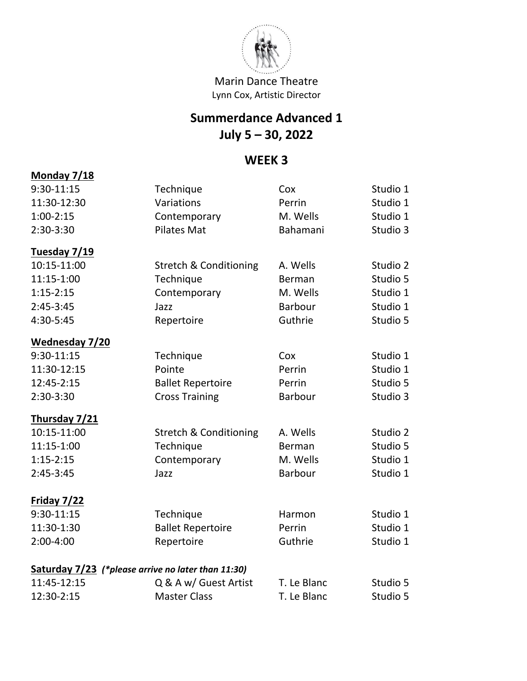

# **Summerdance Advanced 1 July 5 – 30, 2022**

### **WEEK 3**

# **Monday 7/18** 9:30-11:15 Technique Cox Studio 1 11:30-12:30 Variations Perrin Studio 1 1:00-2:15 Contemporary M. Wells Studio 1 2:30-3:30 Pilates Mat Bahamani Studio 3 **Tuesday 7/19** 10:15-11:00 Stretch & Conditioning A. Wells Studio 2 11:15-1:00 Technique Berman Studio 5 1:15-2:15 Contemporary M. Wells Studio 1 2:45-3:45 Jazz Barbour Studio 1 4:30-5:45 Repertoire Guthrie Studio 5 **Wednesday 7/20** 9:30-11:15 Technique Cox Studio 1 11:30-12:15 Pointe Perrin Studio 1 12:45-2:15 Ballet Repertoire Perrin Studio 5 2:30-3:30 Cross Training Barbour Studio 3 **Thursday 7/21** 10:15-11:00 Stretch & Conditioning A. Wells Studio 2 11:15-1:00 Technique Berman Studio 5 1:15-2:15 Contemporary M. Wells Studio 1 2:45-3:45 Jazz Barbour Studio 1 **Friday 7/22** 9:30-11:15 Technique Harmon Studio 1 11:30-1:30 Ballet Repertoire Perrin Studio 1 2:00-4:00 Repertoire Guthrie Studio 1 **Saturday 7/23** *(\*please arrive no later than 11:30)* 11:45-12:15 Q & A w/ Guest Artist T. Le Blanc Studio 5 12:30-2:15 Master Class T. Le Blanc Studio 5